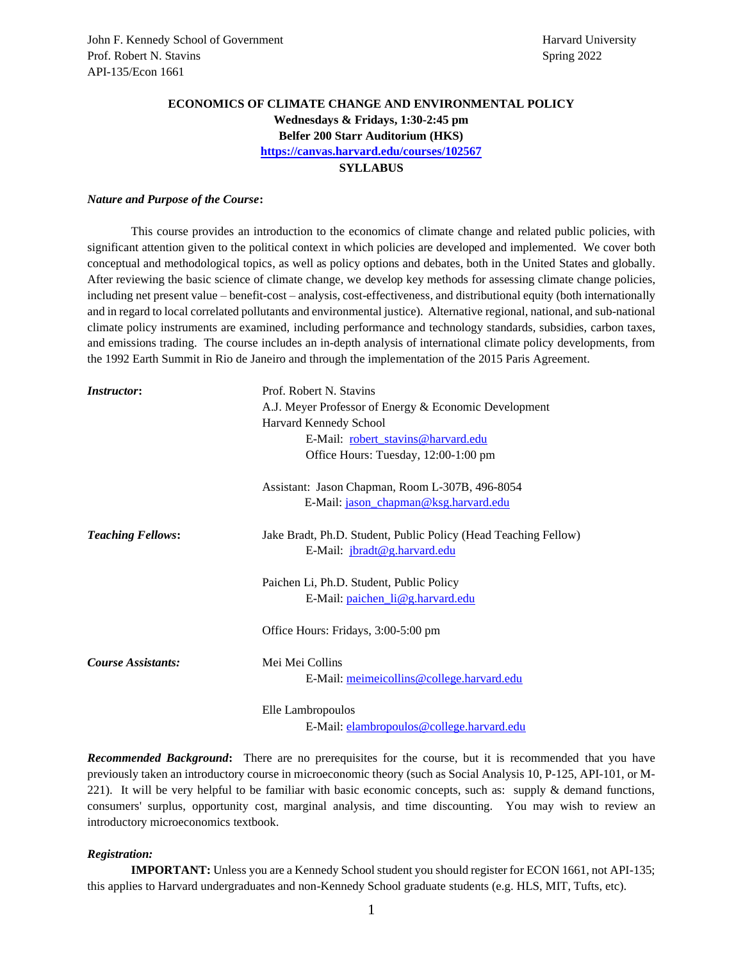# **ECONOMICS OF CLIMATE CHANGE AND ENVIRONMENTAL POLICY Wednesdays & Fridays, 1:30-2:45 pm**

**Belfer 200 Starr Auditorium (HKS)**

**<https://canvas.harvard.edu/courses/102567>**

### **SYLLABUS**

#### *Nature and Purpose of the Course***:**

This course provides an introduction to the economics of climate change and related public policies, with significant attention given to the political context in which policies are developed and implemented. We cover both conceptual and methodological topics, as well as policy options and debates, both in the United States and globally. After reviewing the basic science of climate change, we develop key methods for assessing climate change policies, including net present value – benefit-cost – analysis, cost-effectiveness, and distributional equity (both internationally and in regard to local correlated pollutants and environmental justice). Alternative regional, national, and sub-national climate policy instruments are examined, including performance and technology standards, subsidies, carbon taxes, and emissions trading. The course includes an in-depth analysis of international climate policy developments, from the 1992 Earth Summit in Rio de Janeiro and through the implementation of the 2015 Paris Agreement.

| <i>Instructor:</i>       | Prof. Robert N. Stavins                                         |
|--------------------------|-----------------------------------------------------------------|
|                          | A.J. Meyer Professor of Energy & Economic Development           |
|                          | Harvard Kennedy School                                          |
|                          | E-Mail: robert stavins@harvard.edu                              |
|                          | Office Hours: Tuesday, 12:00-1:00 pm                            |
|                          | Assistant: Jason Chapman, Room L-307B, 496-8054                 |
|                          | E-Mail: jason chapman@ksg.harvard.edu                           |
| <b>Teaching Fellows:</b> | Jake Bradt, Ph.D. Student, Public Policy (Head Teaching Fellow) |
|                          | E-Mail: <i>jbradt@g.harvard.edu</i>                             |
|                          | Paichen Li, Ph.D. Student, Public Policy                        |
|                          | E-Mail: paichen_li@g.harvard.edu                                |
|                          | Office Hours: Fridays, 3:00-5:00 pm                             |
| Course Assistants:       | Mei Mei Collins                                                 |
|                          | E-Mail: meimeicollins@college.harvard.edu                       |
|                          | Elle Lambropoulos                                               |

E-Mail[: elambropoulos@college.harvard.edu](mailto:elambropoulos@college.harvard.edu)

*Recommended Background***:** There are no prerequisites for the course, but it is recommended that you have previously taken an introductory course in microeconomic theory (such as Social Analysis 10, P-125, API-101, or M-221). It will be very helpful to be familiar with basic economic concepts, such as: supply & demand functions, consumers' surplus, opportunity cost, marginal analysis, and time discounting. You may wish to review an introductory microeconomics textbook.

#### *Registration:*

**IMPORTANT:** Unless you are a Kennedy School student you should register for ECON 1661, not API-135; this applies to Harvard undergraduates and non-Kennedy School graduate students (e.g. HLS, MIT, Tufts, etc).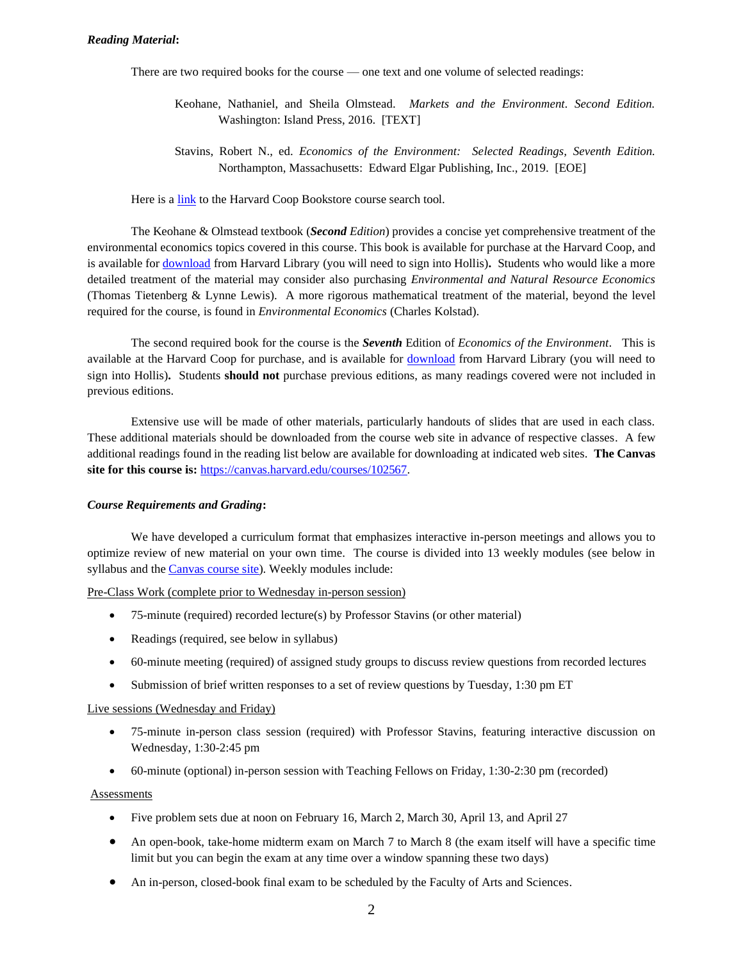### *Reading Material***:**

There are two required books for the course — one text and one volume of selected readings:

- Keohane, Nathaniel, and Sheila Olmstead. *Markets and the Environment. Second Edition.*  Washington: Island Press, 2016. [TEXT]
- Stavins, Robert N., ed. *Economics of the Environment: Selected Readings, Seventh Edition.* Northampton, Massachusetts: Edward Elgar Publishing, Inc., 2019. [EOE]

Here is a [link](https://harvardcoopbooks.bncollege.com/shop/harvard-coop-books/page/find-textbooks) to the Harvard Coop Bookstore course search tool.

The Keohane & Olmstead textbook (*Second Edition*) provides a concise yet comprehensive treatment of the environmental economics topics covered in this course. This book is available for purchase at the Harvard Coop, and is available for [download](https://hollis.harvard.edu/primo-explore/fulldisplay?docid=01HVD_ALMA512247427140003941&context=L&vid=HVD2&search_scope=everything&tab=everything&lang=en_US) from Harvard Library (you will need to sign into Hollis)**.** Students who would like a more detailed treatment of the material may consider also purchasing *Environmental and Natural Resource Economics* (Thomas Tietenberg & Lynne Lewis). A more rigorous mathematical treatment of the material, beyond the level required for the course, is found in *Environmental Economics* (Charles Kolstad).

The second required book for the course is the *Seventh* Edition of *Economics of the Environment*. This is available at the Harvard Coop for purchase, and is available for [download](https://hollis.harvard.edu/primo-explore/fulldisplay?docid=01HVD_ALMA512469520980003941&context=L&vid=HVD2&search_scope=default_scope&tab=books&lang=en_US) from Harvard Library (you will need to sign into Hollis)**.** Students **should not** purchase previous editions, as many readings covered were not included in previous editions.

Extensive use will be made of other materials, particularly handouts of slides that are used in each class. These additional materials should be downloaded from the course web site in advance of respective classes. A few additional readings found in the reading list below are available for downloading at indicated web sites. **The Canvas site for this course is:** [https://canvas.harvard.edu/courses/102567.](https://canvas.harvard.edu/courses/102567)

#### *Course Requirements and Grading***:**

We have developed a curriculum format that emphasizes interactive in-person meetings and allows you to optimize review of new material on your own time. The course is divided into 13 weekly modules (see below in syllabus and the [Canvas course site\)](https://canvas.harvard.edu/courses/102567). Weekly modules include:

Pre-Class Work (complete prior to Wednesday in-person session)

- 75-minute (required) recorded lecture(s) by Professor Stavins (or other material)
- Readings (required, see below in syllabus)
- 60-minute meeting (required) of assigned study groups to discuss review questions from recorded lectures
- Submission of brief written responses to a set of review questions by Tuesday, 1:30 pm ET

#### Live sessions (Wednesday and Friday)

- 75-minute in-person class session (required) with Professor Stavins, featuring interactive discussion on Wednesday, 1:30-2:45 pm
- 60-minute (optional) in-person session with Teaching Fellows on Friday, 1:30-2:30 pm (recorded)

#### Assessments

- Five problem sets due at noon on February 16, March 2, March 30, April 13, and April 27
- An open-book, take-home midterm exam on March 7 to March 8 (the exam itself will have a specific time limit but you can begin the exam at any time over a window spanning these two days)
- An in-person, closed-book final exam to be scheduled by the Faculty of Arts and Sciences.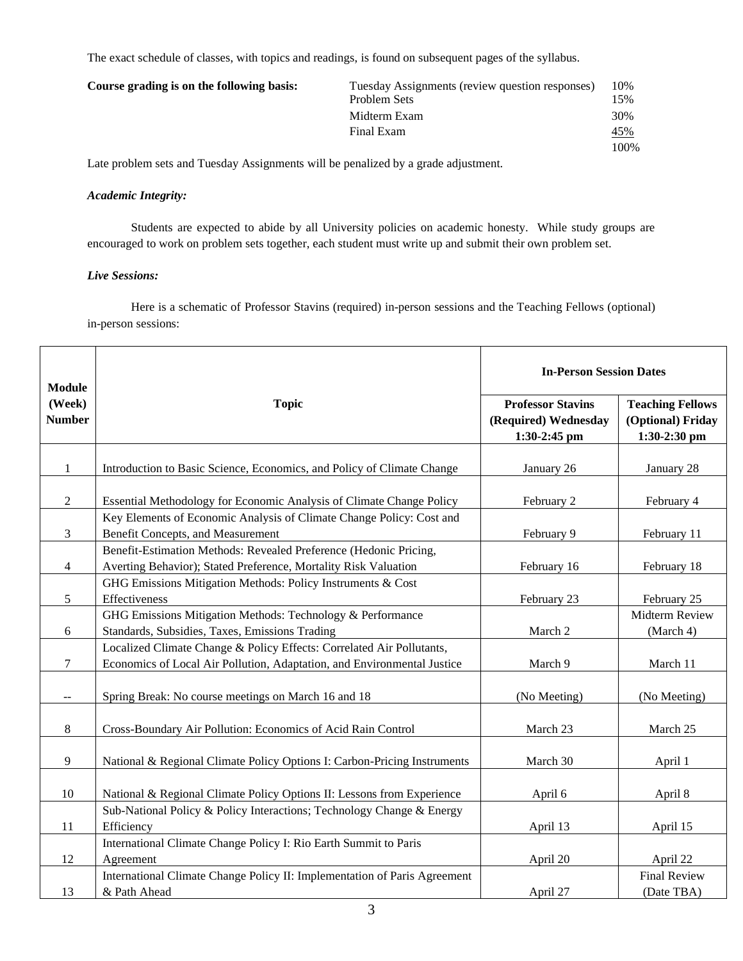The exact schedule of classes, with topics and readings, is found on subsequent pages of the syllabus.

| Course grading is on the following basis: | Tuesday Assignments (review question responses) | 10%  |
|-------------------------------------------|-------------------------------------------------|------|
|                                           | Problem Sets                                    | 15%  |
|                                           | Midterm Exam                                    | 30%  |
|                                           | Final Exam                                      | 45%  |
|                                           |                                                 | 100% |

Late problem sets and Tuesday Assignments will be penalized by a grade adjustment.

### *Academic Integrity:*

Students are expected to abide by all University policies on academic honesty. While study groups are encouraged to work on problem sets together, each student must write up and submit their own problem set.

# *Live Sessions:*

Here is a schematic of Professor Stavins (required) in-person sessions and the Teaching Fellows (optional) in-person sessions:

| <b>Module</b>                                 |                                                                                                                                                  | <b>In-Person Session Dates</b>                                   |                                                              |
|-----------------------------------------------|--------------------------------------------------------------------------------------------------------------------------------------------------|------------------------------------------------------------------|--------------------------------------------------------------|
| (Week)<br><b>Number</b>                       | <b>Topic</b>                                                                                                                                     | <b>Professor Stavins</b><br>(Required) Wednesday<br>1:30-2:45 pm | <b>Teaching Fellows</b><br>(Optional) Friday<br>1:30-2:30 pm |
| $\mathbf{1}$                                  | Introduction to Basic Science, Economics, and Policy of Climate Change                                                                           | January 26                                                       | January 28                                                   |
| $\overline{2}$                                | Essential Methodology for Economic Analysis of Climate Change Policy                                                                             | February 2                                                       | February 4                                                   |
| $\mathfrak{Z}$                                | Key Elements of Economic Analysis of Climate Change Policy: Cost and<br><b>Benefit Concepts, and Measurement</b>                                 | February 9                                                       | February 11                                                  |
| 4                                             | Benefit-Estimation Methods: Revealed Preference (Hedonic Pricing,<br>Averting Behavior); Stated Preference, Mortality Risk Valuation             | February 16                                                      | February 18                                                  |
| 5                                             | GHG Emissions Mitigation Methods: Policy Instruments & Cost<br>Effectiveness                                                                     | February 23                                                      | February 25                                                  |
| 6                                             | GHG Emissions Mitigation Methods: Technology & Performance<br>Standards, Subsidies, Taxes, Emissions Trading                                     | March 2                                                          | Midterm Review<br>(March 4)                                  |
| $\overline{7}$                                | Localized Climate Change & Policy Effects: Correlated Air Pollutants,<br>Economics of Local Air Pollution, Adaptation, and Environmental Justice | March 9                                                          | March 11                                                     |
| $\mathord{\hspace{1pt}\text{--}\hspace{1pt}}$ | Spring Break: No course meetings on March 16 and 18                                                                                              | (No Meeting)                                                     | (No Meeting)                                                 |
| 8                                             | Cross-Boundary Air Pollution: Economics of Acid Rain Control                                                                                     | March 23                                                         | March 25                                                     |
| 9                                             | National & Regional Climate Policy Options I: Carbon-Pricing Instruments                                                                         | March 30                                                         | April 1                                                      |
| 10                                            | National & Regional Climate Policy Options II: Lessons from Experience                                                                           | April 6                                                          | April 8                                                      |
| 11                                            | Sub-National Policy & Policy Interactions; Technology Change & Energy<br>Efficiency                                                              | April 13                                                         | April 15                                                     |
| 12                                            | International Climate Change Policy I: Rio Earth Summit to Paris<br>Agreement                                                                    | April 20                                                         | April 22                                                     |
| 13                                            | International Climate Change Policy II: Implementation of Paris Agreement<br>& Path Ahead                                                        | April 27                                                         | <b>Final Review</b><br>(Date TBA)                            |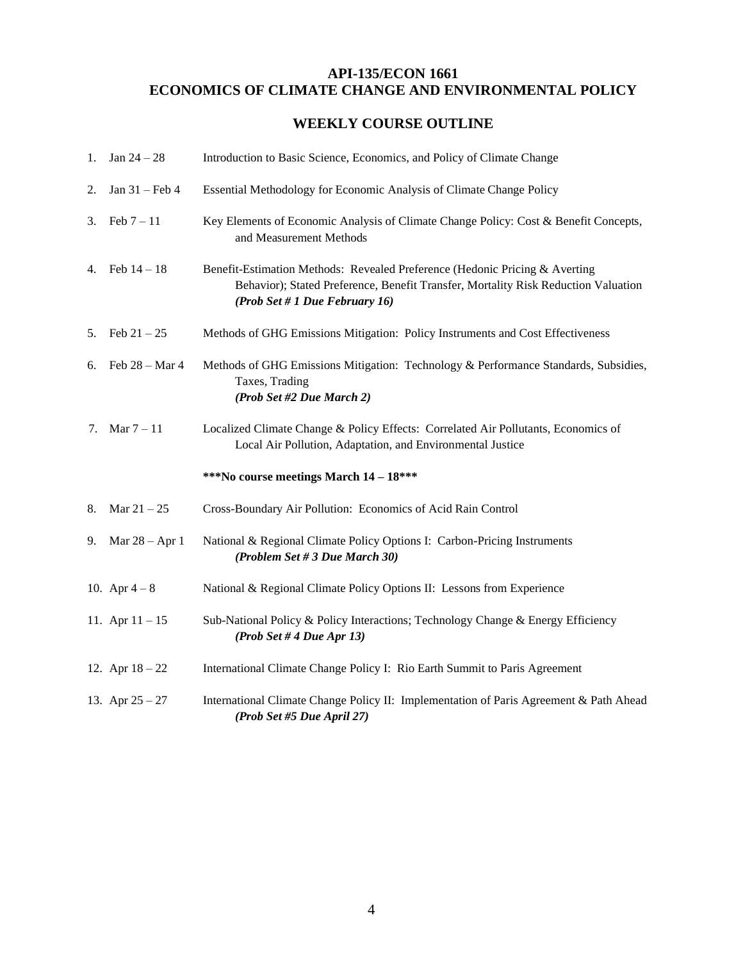# **API-135/ECON 1661 ECONOMICS OF CLIMATE CHANGE AND ENVIRONMENTAL POLICY**

# **WEEKLY COURSE OUTLINE**

| 1. | Jan $24 - 28$     | Introduction to Basic Science, Economics, and Policy of Climate Change                                                                                                                              |
|----|-------------------|-----------------------------------------------------------------------------------------------------------------------------------------------------------------------------------------------------|
| 2. | Jan $31$ – Feb 4  | Essential Methodology for Economic Analysis of Climate Change Policy                                                                                                                                |
| 3. | Feb $7 - 11$      | Key Elements of Economic Analysis of Climate Change Policy: Cost & Benefit Concepts,<br>and Measurement Methods                                                                                     |
|    | 4. Feb $14 - 18$  | Benefit-Estimation Methods: Revealed Preference (Hedonic Pricing & Averting<br>Behavior); Stated Preference, Benefit Transfer, Mortality Risk Reduction Valuation<br>(Prob Set # 1 Due February 16) |
| 5. | Feb $21 - 25$     | Methods of GHG Emissions Mitigation: Policy Instruments and Cost Effectiveness                                                                                                                      |
| 6. | Feb $28 - Mar 4$  | Methods of GHG Emissions Mitigation: Technology & Performance Standards, Subsidies,<br>Taxes, Trading<br>(Prob Set #2 Due March 2)                                                                  |
|    | 7. Mar $7 - 11$   | Localized Climate Change & Policy Effects: Correlated Air Pollutants, Economics of<br>Local Air Pollution, Adaptation, and Environmental Justice                                                    |
|    |                   | ***No course meetings March 14 - 18***                                                                                                                                                              |
| 8. | Mar $21 - 25$     | Cross-Boundary Air Pollution: Economics of Acid Rain Control                                                                                                                                        |
| 9. | Mar $28 - Apr 1$  | National & Regional Climate Policy Options I: Carbon-Pricing Instruments<br>(Problem Set # 3 Due March 30)                                                                                          |
|    | 10. Apr $4-8$     | National & Regional Climate Policy Options II: Lessons from Experience                                                                                                                              |
|    | 11. Apr $11 - 15$ | Sub-National Policy & Policy Interactions; Technology Change & Energy Efficiency<br>(Prob Set # 4 Due Apr 13)                                                                                       |
|    | 12. Apr $18 - 22$ | International Climate Change Policy I: Rio Earth Summit to Paris Agreement                                                                                                                          |
|    | 13. Apr $25 - 27$ | International Climate Change Policy II: Implementation of Paris Agreement & Path Ahead<br>(Prob Set #5 Due April 27)                                                                                |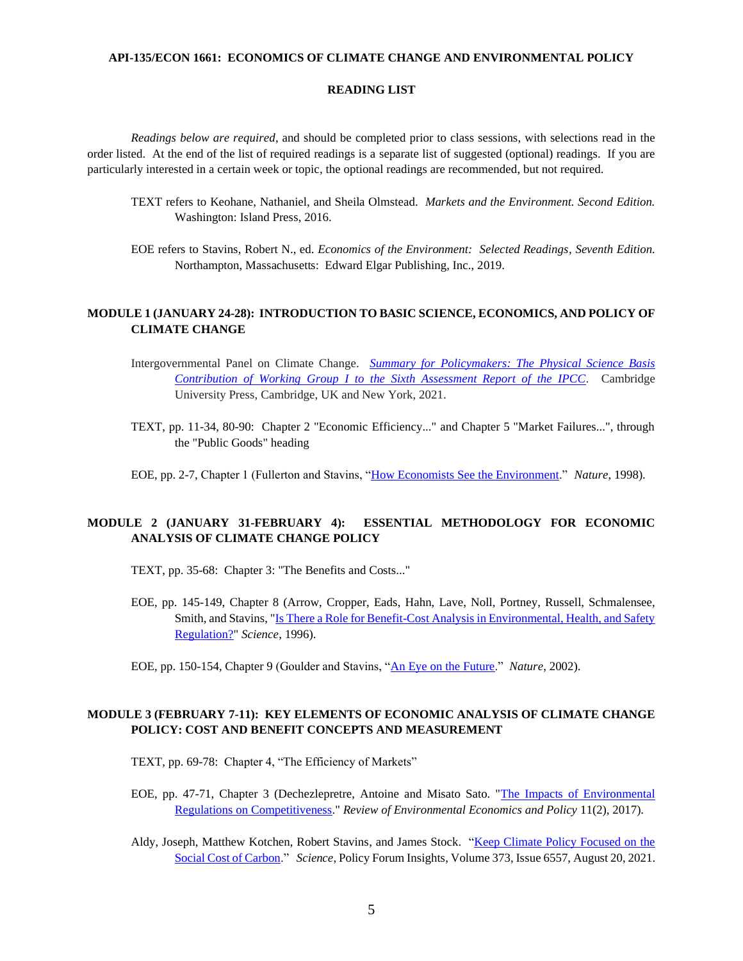#### **API-135/ECON 1661: ECONOMICS OF CLIMATE CHANGE AND ENVIRONMENTAL POLICY**

#### **READING LIST**

*Readings below are required*, and should be completed prior to class sessions, with selections read in the order listed. At the end of the list of required readings is a separate list of suggested (optional) readings. If you are particularly interested in a certain week or topic, the optional readings are recommended, but not required.

- TEXT refers to Keohane, Nathaniel, and Sheila Olmstead. *Markets and the Environment. Second Edition.*  Washington: Island Press, 2016.
- EOE refers to Stavins, Robert N., ed. *Economics of the Environment: Selected Readings, Seventh Edition.* Northampton, Massachusetts: Edward Elgar Publishing, Inc., 2019.

### **MODULE 1 (JANUARY 24-28): INTRODUCTION TO BASIC SCIENCE, ECONOMICS, AND POLICY OF CLIMATE CHANGE**

- Intergovernmental Panel on Climate Change. *[Summary for Policymakers: The Physical Science Basis](https://www.ipcc.ch/report/ar6/wg1/downloads/report/IPCC_AR6_WGI_SPM_final.pdf)  [Contribution of Working Group I to the Sixth Assessment Report of the IPCC.](https://www.ipcc.ch/report/ar6/wg1/downloads/report/IPCC_AR6_WGI_SPM_final.pdf)* Cambridge University Press, Cambridge, UK and New York, 2021.
- TEXT, pp. 11-34, 80-90: Chapter 2 "Economic Efficiency..." and Chapter 5 "Market Failures...", through the "Public Goods" heading
- EOE, pp. 2-7, Chapter 1 (Fullerton and Stavins, ["How Economists See the Environment.](https://www.nature.com/articles/26606)" *Nature*, 1998).

### **MODULE 2 (JANUARY 31-FEBRUARY 4): ESSENTIAL METHODOLOGY FOR ECONOMIC ANALYSIS OF CLIMATE CHANGE POLICY**

- TEXT, pp. 35-68: Chapter 3: "The Benefits and Costs..."
- EOE, pp. 145-149, Chapter 8 (Arrow, Cropper, Eads, Hahn, Lave, Noll, Portney, Russell, Schmalensee, Smith, and Stavins, ["Is There a Role for Benefit-Cost Analysis in Environmental, Health, and Safety](https://search-proquest-com.ezp-prod1.hul.harvard.edu/docview/77972520?accountid=11311&pq-origsite=primo)  [Regulation?"](https://search-proquest-com.ezp-prod1.hul.harvard.edu/docview/77972520?accountid=11311&pq-origsite=primo) *Science*, 1996).

# **MODULE 3 (FEBRUARY 7-11): KEY ELEMENTS OF ECONOMIC ANALYSIS OF CLIMATE CHANGE POLICY: COST AND BENEFIT CONCEPTS AND MEASUREMENT**

TEXT, pp. 69-78: Chapter 4, "The Efficiency of Markets"

- EOE, pp. 47-71, Chapter 3 (Dechezlepretre, Antoine and Misato Sato. ["The Impacts of Environmental](https://academic.oup.com/reep/article/11/2/183/4049468)  [Regulations on Competitiveness.](https://academic.oup.com/reep/article/11/2/183/4049468)" *Review of Environmental Economics and Policy* 11(2), 2017).
- Aldy, Joseph, Matthew Kotchen, Robert Stavins, and James Stock. ["Keep Climate Policy Focused on the](https://scholar.harvard.edu/files/stavins/files/aldy-kotchen-stavins_stock_social_cost_of_carbon_science_magazine_august_20_2021.pdf)  [Social Cost of Carbon.](https://scholar.harvard.edu/files/stavins/files/aldy-kotchen-stavins_stock_social_cost_of_carbon_science_magazine_august_20_2021.pdf)" *Science*, Policy Forum Insights, Volume 373, Issue 6557, August 20, 2021.

EOE, pp. 150-154, Chapter 9 (Goulder and Stavins, ["An Eye on the Future.](https://www.nature.com/articles/419673a)" *Nature*, 2002).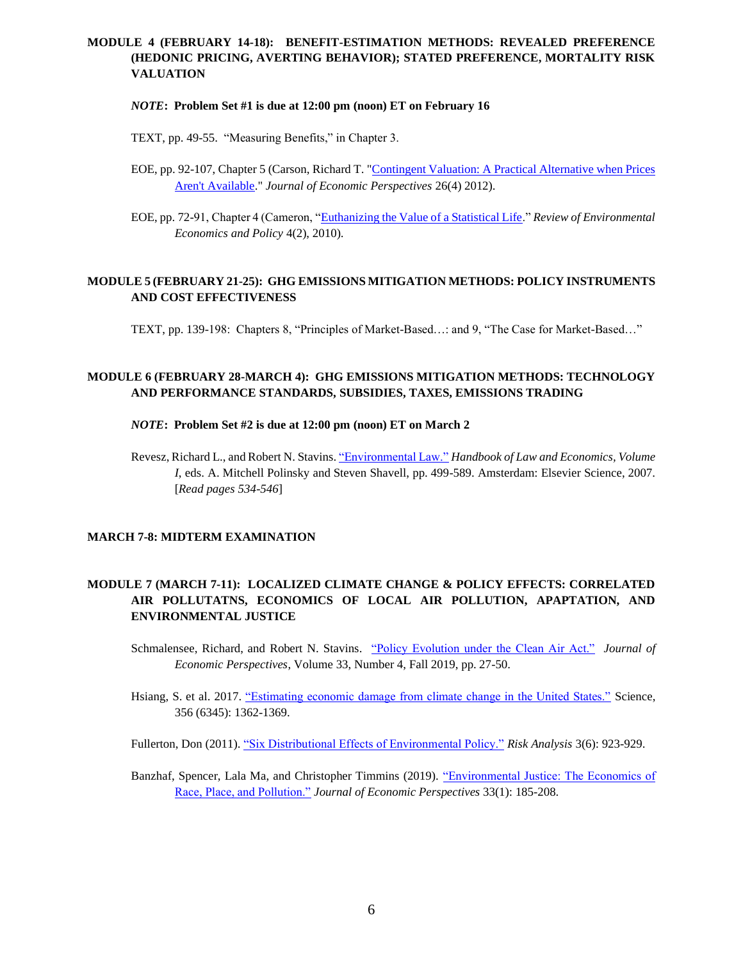# **MODULE 4 (FEBRUARY 14-18): BENEFIT-ESTIMATION METHODS: REVEALED PREFERENCE (HEDONIC PRICING, AVERTING BEHAVIOR); STATED PREFERENCE, MORTALITY RISK VALUATION**

#### *NOTE***: Problem Set #1 is due at 12:00 pm (noon) ET on February 16**

TEXT, pp. 49-55. "Measuring Benefits," in Chapter 3.

- EOE, pp. 92-107, Chapter 5 (Carson, Richard T. ["Contingent Valuation: A Practical Alternative when Prices](https://libkey.io/libraries/215/articles/47563298/full-text-file)  [Aren't Available.](https://libkey.io/libraries/215/articles/47563298/full-text-file)" *Journal of Economic Perspectives* 26(4) 2012).
- EOE, pp. 72-91, Chapter 4 (Cameron, ["Euthanizing the Value of a Statistical Life.](https://academic-oup-com.ezp-prod1.hul.harvard.edu/reep/article/4/2/161/1572288)" *Review of Environmental Economics and Policy* 4(2), 2010).

### **MODULE 5 (FEBRUARY 21-25): GHG EMISSIONS MITIGATION METHODS: POLICY INSTRUMENTS AND COST EFFECTIVENESS**

TEXT, pp. 139-198: Chapters 8, "Principles of Market-Based…: and 9, "The Case for Market-Based…"

# **MODULE 6 (FEBRUARY 28-MARCH 4): GHG EMISSIONS MITIGATION METHODS: TECHNOLOGY AND PERFORMANCE STANDARDS, SUBSIDIES, TAXES, EMISSIONS TRADING**

### *NOTE***: Problem Set #2 is due at 12:00 pm (noon) ET on March 2**

Revesz, Richard L., and Robert N. Stavins[. "Environmental Law."](https://www-sciencedirect-com.ezp-prod1.hul.harvard.edu/science/article/pii/S1574073007010080/pdfft?md5=f4d60411526bbba1c1578f735f925d60&pid=1-s2.0-S1574073007010080-main.pdf) *Handbook of Law and Economics, Volume I*, eds. A. Mitchell Polinsky and Steven Shavell, pp. 499-589. Amsterdam: Elsevier Science, 2007. [*Read pages 534-546*]

### **MARCH 7-8: MIDTERM EXAMINATION**

# **MODULE 7 (MARCH 7-11): LOCALIZED CLIMATE CHANGE & POLICY EFFECTS: CORRELATED AIR POLLUTATNS, ECONOMICS OF LOCAL AIR POLLUTION, APAPTATION, AND ENVIRONMENTAL JUSTICE**

Schmalensee, Richard, and Robert N. Stavins. ["Policy Evolution under the Clean Air Act."](https://pubs.aeaweb.org/doi/pdfplus/10.1257/jep.33.4.27) *Journal of Economic Perspectives*, Volume 33, Number 4, Fall 2019, pp. 27-50.

Hsiang, S. et al. 2017. ["Estimating economic damage from climate change in the United States."](https://urldefense.proofpoint.com/v2/url?u=https-3A__science.sciencemag.org_content_356_6345_1362&d=DwMFaQ&c=WO-RGvefibhHBZq3fL85hQ&r=6dpu10P2dV2rJHLj1XiN5ksKeZHEnenpzzJDNFVtmnY&m=2fQXhwYxSSLbquTVDqlhK6aqy6-V4OWiIO0UTeFV-Ug&s=tvDvDlWC5_sOiai_pPfExuZKGhftA9Fgx6X_HtgeOtQ&e=) Science, 356 (6345): 1362-1369.

Fullerton, Don (2011). ["Six Distributional Effects of Environmental Policy."](https://libkey.io/libraries/215/articles/24834175/full-text-file) *Risk Analysis* 3(6): 923-929.

Banzhaf, Spencer, Lala Ma, and Christopher Timmins (2019). ["Environmental Justice: The Economics of](https://libkey.io/libraries/215/articles/270297798/full-text-file)  [Race, Place, and Pollution."](https://libkey.io/libraries/215/articles/270297798/full-text-file) *Journal of Economic Perspectives* 33(1): 185-208.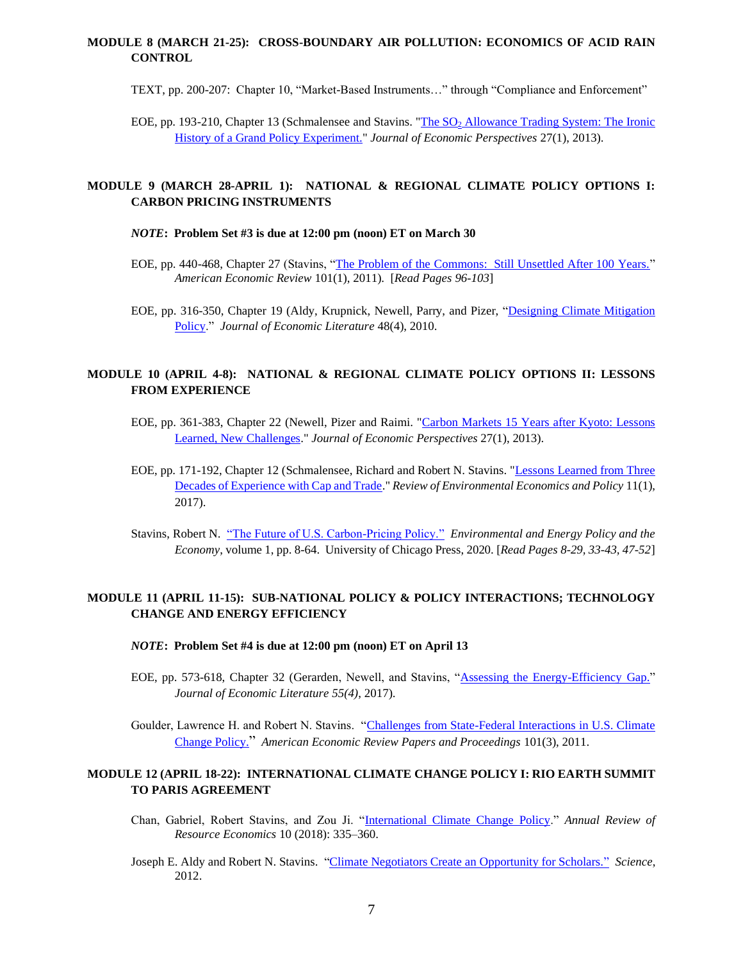# **MODULE 8 (MARCH 21-25): CROSS-BOUNDARY AIR POLLUTION: ECONOMICS OF ACID RAIN CONTROL**

TEXT, pp. 200-207: Chapter 10, "Market-Based Instruments…" through "Compliance and Enforcement"

EOE, pp. 193-210, Chapter 13 (Schmalensee and Stavins. "The SO<sub>2</sub> Allowance Trading System: The Ironic [History of a Grand Policy Experiment."](https://www.aeaweb.org/articles?id=10.1257/jep.27.1.103) *Journal of Economic Perspectives* 27(1), 2013).

# **MODULE 9 (MARCH 28-APRIL 1): NATIONAL & REGIONAL CLIMATE POLICY OPTIONS I: CARBON PRICING INSTRUMENTS**

#### *NOTE***: Problem Set #3 is due at 12:00 pm (noon) ET on March 30**

- EOE, pp. 440-468, Chapter 27 (Stavins, ["The Problem of the Commons: Still Unsettled After 100 Years."](https://www.aeaweb.org/articles?id=10.1257/aer.101.1.81) *American Economic Review* 101(1), 2011). [*Read Pages 96-103*]
- EOE, pp. 316-350, Chapter 19 (Aldy, Krupnick, Newell, Parry, and Pizer, ["Designing Climate Mitigation](https://www.aeaweb.org/articles?id=10.1257/jel.48.4.903)  [Policy.](https://www.aeaweb.org/articles?id=10.1257/jel.48.4.903)" *Journal of Economic Literature* 48(4), 2010.

### **MODULE 10 (APRIL 4-8): NATIONAL & REGIONAL CLIMATE POLICY OPTIONS II: LESSONS FROM EXPERIENCE**

- EOE, pp. 361-383, Chapter 22 (Newell, Pizer and Raimi. ["Carbon Markets 15 Years after Kyoto: Lessons](https://libkey.io/libraries/215/articles/47563314/full-text-file)  [Learned, New Challenges.](https://libkey.io/libraries/215/articles/47563314/full-text-file)" *Journal of Economic Perspectives* 27(1), 2013).
- EOE, pp. 171-192, Chapter 12 (Schmalensee, Richard and Robert N. Stavins. ["Lessons Learned from Three](https://academic.oup.com/reep/article/11/1/59/3066276)  [Decades of Experience with Cap and Trade.](https://academic.oup.com/reep/article/11/1/59/3066276)" *Review of Environmental Economics and Policy* 11(1), 2017).
- Stavins, Robert N. ["The Future of U.S. Carbon-Pricing Policy."](https://scholar.harvard.edu/files/stavins/files/stavins_eepe_2020_journal_article.pdf) *Environmental and Energy Policy and the Economy*, volume 1, pp. 8-64. University of Chicago Press, 2020. [*Read Pages 8-29, 33-43, 47-52*]

# **MODULE 11 (APRIL 11-15): SUB-NATIONAL POLICY & POLICY INTERACTIONS; TECHNOLOGY CHANGE AND ENERGY EFFICIENCY**

#### *NOTE***: Problem Set #4 is due at 12:00 pm (noon) ET on April 13**

EOE, pp. 573-618, Chapter 32 (Gerarden, Newell, and Stavins, ["Assessing the Energy-Efficiency Gap."](https://pubs.aeaweb.org/doi/pdf/10.1257/jel.20161360) *Journal of Economic Literature 55(4)*, 2017).

Goulder, Lawrence H. and Robert N. Stavins. ["Challenges from State-Federal Interactions in U.S. Climate](https://scholar.harvard.edu/files/stavins/files/goulderstavinsaerpapersproceedings.pdf)  [Change Policy.](https://scholar.harvard.edu/files/stavins/files/goulderstavinsaerpapersproceedings.pdf)" *American Economic Review Papers and Proceedings* 101(3), 2011.

# **MODULE 12 (APRIL 18-22): INTERNATIONAL CLIMATE CHANGE POLICY I: RIO EARTH SUMMIT TO PARIS AGREEMENT**

- Chan, Gabriel, Robert Stavins, and Zou Ji. ["International Climate Change Policy.](https://scholar.harvard.edu/files/stavins/files/chan_stavins_zou_ji_annual_review_article_2018_002.pdf)" *Annual Review of Resource Economics* 10 (2018): 335–360.
- Joseph E. Aldy and Robert N. Stavins. ["Climate Negotiators Create an Opportunity for Scholars."](https://www.science.org/doi/10.1126/science.1223836) *Science*, 2012.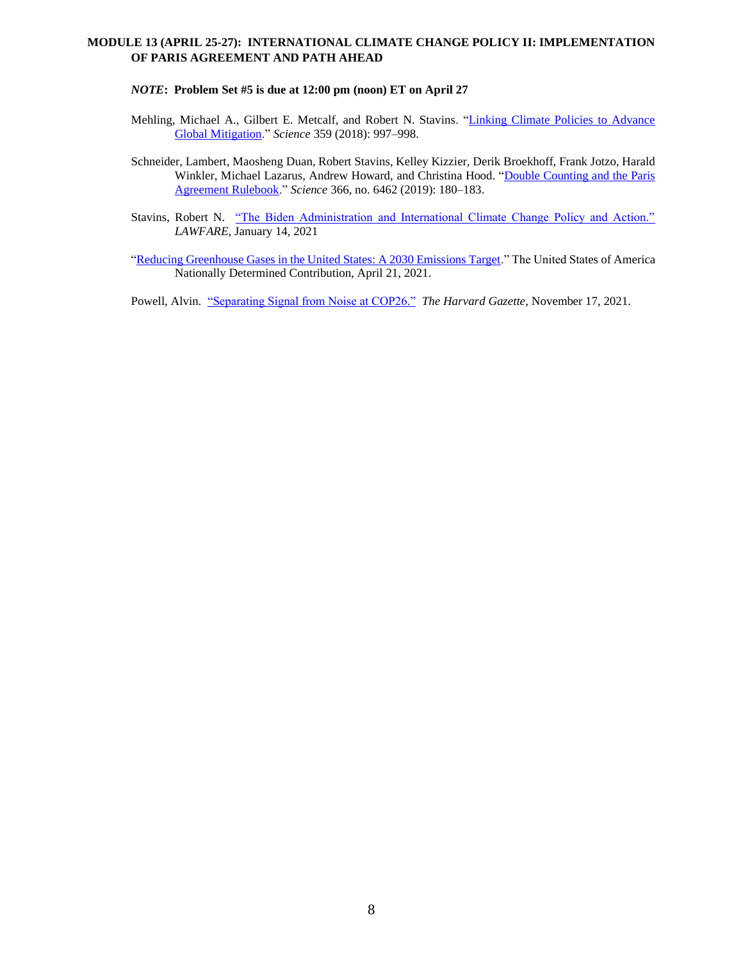## **MODULE 13 (APRIL 25-27): INTERNATIONAL CLIMATE CHANGE POLICY II: IMPLEMENTATION OF PARIS AGREEMENT AND PATH AHEAD**

#### *NOTE***: Problem Set #5 is due at 12:00 pm (noon) ET on April 27**

- Mehling, Michael A., Gilbert E. Metcalf, and Robert N. Stavins. "Linking Climate Policies to Advance [Global Mitigation.](https://scholar.harvard.edu/files/stavins/files/mehling-metcalf-stavins_linking_climate_policies_to_advance_global_mitigation.pdf)" *Science* 359 (2018): 997–998.
- Schneider, Lambert, Maosheng Duan, Robert Stavins, Kelley Kizzier, Derik Broekhoff, Frank Jotzo, Harald Winkler, Michael Lazarus, Andrew Howard, and Christina Hood. ["Double Counting and the Paris](https://scholar.harvard.edu/stavins/publications/double-counting-and-paris-agreement-rulebook)  [Agreement Rulebook.](https://scholar.harvard.edu/stavins/publications/double-counting-and-paris-agreement-rulebook)" *Science* 366, no. 6462 (2019): 180–183.
- Stavins, Robert N. ["The Biden Administration and International Climate Change Policy and Action."](https://www.lawfareblog.com/biden-administration-and-international-climate-change-policy-and-action)  *LAWFARE*, January 14, 2021
- ["Reducing Greenhouse Gases in the United States: A 2030 Emissions Target.](https://www4.unfccc.int/sites/ndcstaging/PublishedDocuments/United%20States%20of%20America%20First/United%20States%20NDC%20April%2021%202021%20Final.pdf)" The United States of America Nationally Determined Contribution, April 21, 2021.

Powell, Alvin. ["Separating Signal from Noise at COP26."](https://news.harvard.edu/gazette/story/2021/11/rob-stavins-cautiously-optimistic-after-cop26/) *The Harvard Gazette*, November 17, 2021.